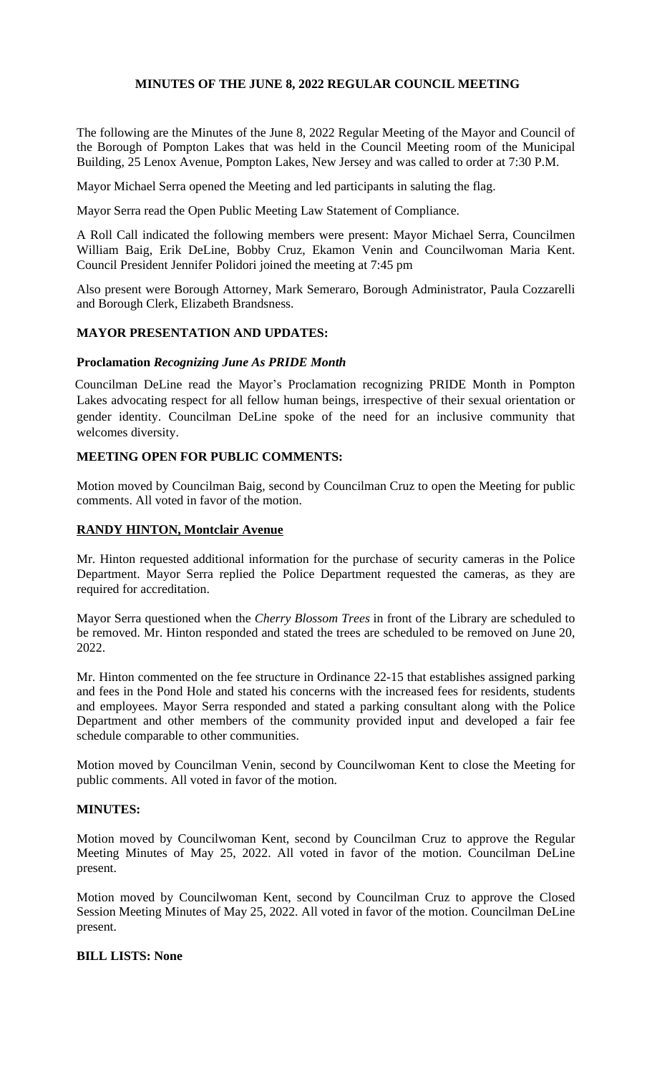## **MINUTES OF THE JUNE 8, 2022 REGULAR COUNCIL MEETING**

The following are the Minutes of the June 8, 2022 Regular Meeting of the Mayor and Council of the Borough of Pompton Lakes that was held in the Council Meeting room of the Municipal Building, 25 Lenox Avenue, Pompton Lakes, New Jersey and was called to order at 7:30 P.M.

Mayor Michael Serra opened the Meeting and led participants in saluting the flag.

Mayor Serra read the Open Public Meeting Law Statement of Compliance.

A Roll Call indicated the following members were present: Mayor Michael Serra, Councilmen William Baig, Erik DeLine, Bobby Cruz, Ekamon Venin and Councilwoman Maria Kent. Council President Jennifer Polidori joined the meeting at 7:45 pm

Also present were Borough Attorney, Mark Semeraro, Borough Administrator, Paula Cozzarelli and Borough Clerk, Elizabeth Brandsness.

## **MAYOR PRESENTATION AND UPDATES:**

#### **Proclamation** *Recognizing June As PRIDE Month*

Councilman DeLine read the Mayor's Proclamation recognizing PRIDE Month in Pompton Lakes advocating respect for all fellow human beings, irrespective of their sexual orientation or gender identity. Councilman DeLine spoke of the need for an inclusive community that welcomes diversity.

# **MEETING OPEN FOR PUBLIC COMMENTS:**

Motion moved by Councilman Baig, second by Councilman Cruz to open the Meeting for public comments. All voted in favor of the motion.

## **RANDY HINTON, Montclair Avenue**

Mr. Hinton requested additional information for the purchase of security cameras in the Police Department. Mayor Serra replied the Police Department requested the cameras, as they are required for accreditation.

Mayor Serra questioned when the *Cherry Blossom Trees* in front of the Library are scheduled to be removed. Mr. Hinton responded and stated the trees are scheduled to be removed on June 20, 2022.

Mr. Hinton commented on the fee structure in Ordinance 22-15 that establishes assigned parking and fees in the Pond Hole and stated his concerns with the increased fees for residents, students and employees. Mayor Serra responded and stated a parking consultant along with the Police Department and other members of the community provided input and developed a fair fee schedule comparable to other communities.

Motion moved by Councilman Venin, second by Councilwoman Kent to close the Meeting for public comments. All voted in favor of the motion.

## **MINUTES:**

Motion moved by Councilwoman Kent, second by Councilman Cruz to approve the Regular Meeting Minutes of May 25, 2022. All voted in favor of the motion. Councilman DeLine present.

Motion moved by Councilwoman Kent, second by Councilman Cruz to approve the Closed Session Meeting Minutes of May 25, 2022. All voted in favor of the motion. Councilman DeLine present.

## **BILL LISTS: None**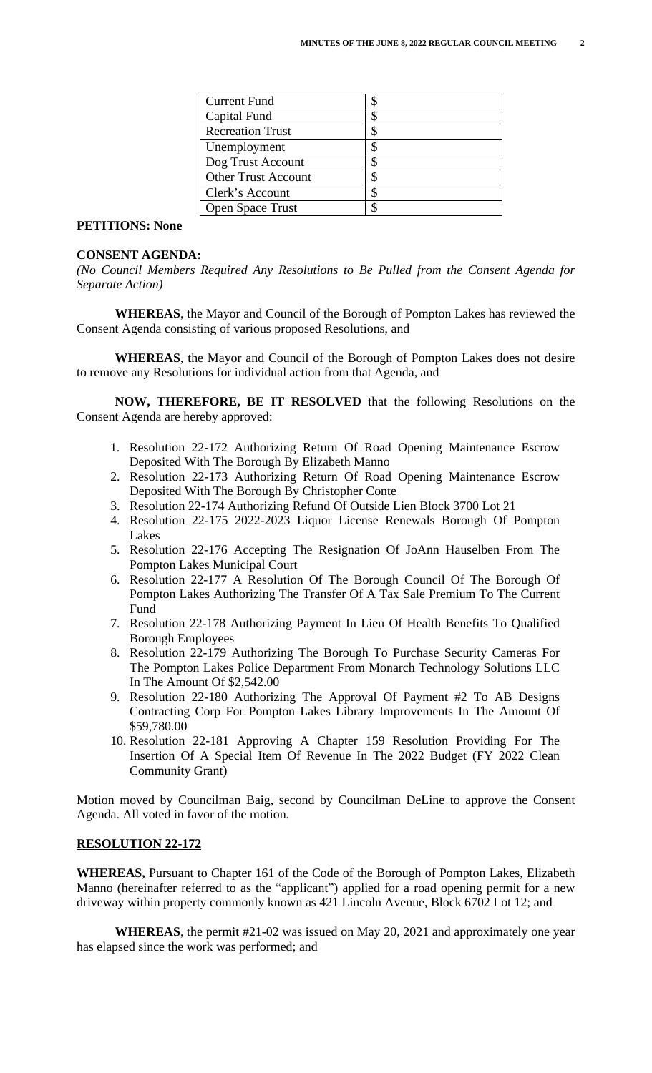| <b>Current Fund</b>        |    |
|----------------------------|----|
| Capital Fund               |    |
| <b>Recreation Trust</b>    | S  |
| Unemployment               |    |
| Dog Trust Account          | \$ |
| <b>Other Trust Account</b> |    |
| Clerk's Account            | \$ |
| <b>Open Space Trust</b>    |    |

## **PETITIONS: None**

#### **CONSENT AGENDA:**

*(No Council Members Required Any Resolutions to Be Pulled from the Consent Agenda for Separate Action)*

**WHEREAS**, the Mayor and Council of the Borough of Pompton Lakes has reviewed the Consent Agenda consisting of various proposed Resolutions, and

**WHEREAS**, the Mayor and Council of the Borough of Pompton Lakes does not desire to remove any Resolutions for individual action from that Agenda, and

**NOW, THEREFORE, BE IT RESOLVED** that the following Resolutions on the Consent Agenda are hereby approved:

- 1. Resolution 22-172 Authorizing Return Of Road Opening Maintenance Escrow Deposited With The Borough By Elizabeth Manno
- 2. Resolution 22-173 Authorizing Return Of Road Opening Maintenance Escrow Deposited With The Borough By Christopher Conte
- 3. Resolution 22-174 Authorizing Refund Of Outside Lien Block 3700 Lot 21
- 4. Resolution 22-175 2022-2023 Liquor License Renewals Borough Of Pompton Lakes
- 5. Resolution 22-176 Accepting The Resignation Of JoAnn Hauselben From The Pompton Lakes Municipal Court
- 6. Resolution 22-177 A Resolution Of The Borough Council Of The Borough Of Pompton Lakes Authorizing The Transfer Of A Tax Sale Premium To The Current Fund
- 7. Resolution 22-178 Authorizing Payment In Lieu Of Health Benefits To Qualified Borough Employees
- 8. Resolution 22-179 Authorizing The Borough To Purchase Security Cameras For The Pompton Lakes Police Department From Monarch Technology Solutions LLC In The Amount Of \$2,542.00
- 9. Resolution 22-180 Authorizing The Approval Of Payment #2 To AB Designs Contracting Corp For Pompton Lakes Library Improvements In The Amount Of \$59,780.00
- 10. Resolution 22-181 Approving A Chapter 159 Resolution Providing For The Insertion Of A Special Item Of Revenue In The 2022 Budget (FY 2022 Clean Community Grant)

Motion moved by Councilman Baig, second by Councilman DeLine to approve the Consent Agenda. All voted in favor of the motion.

#### **RESOLUTION 22-172**

**WHEREAS,** Pursuant to Chapter 161 of the Code of the Borough of Pompton Lakes, Elizabeth Manno (hereinafter referred to as the "applicant") applied for a road opening permit for a new driveway within property commonly known as 421 Lincoln Avenue, Block 6702 Lot 12; and

**WHEREAS**, the permit #21-02 was issued on May 20, 2021 and approximately one year has elapsed since the work was performed; and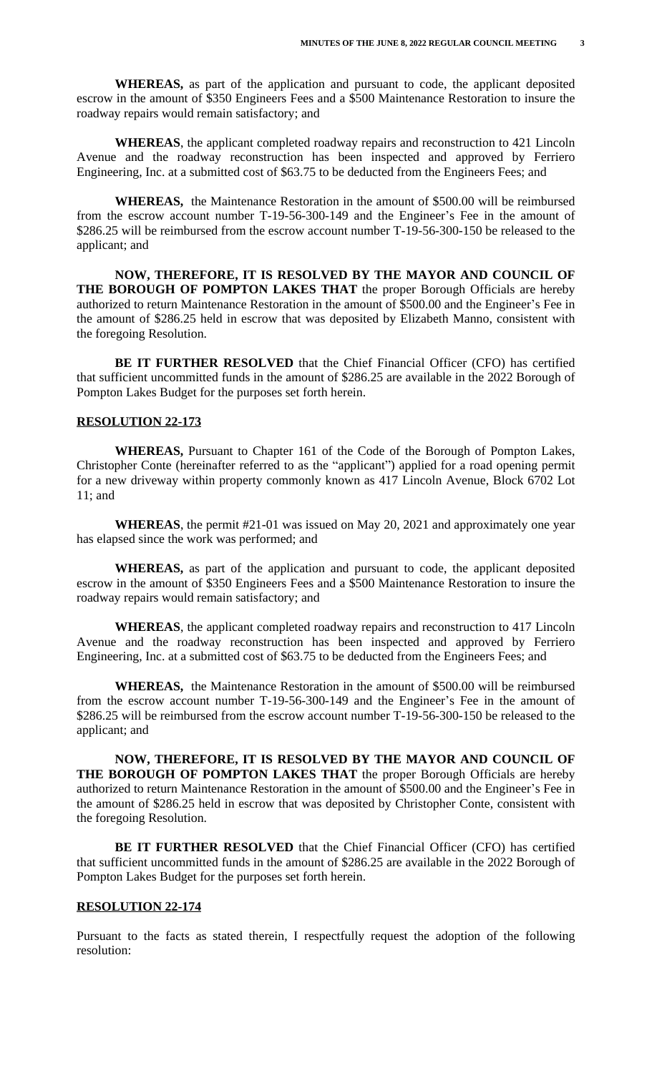**WHEREAS,** as part of the application and pursuant to code, the applicant deposited escrow in the amount of \$350 Engineers Fees and a \$500 Maintenance Restoration to insure the roadway repairs would remain satisfactory; and

**WHEREAS**, the applicant completed roadway repairs and reconstruction to 421 Lincoln Avenue and the roadway reconstruction has been inspected and approved by Ferriero Engineering, Inc. at a submitted cost of \$63.75 to be deducted from the Engineers Fees; and

**WHEREAS,** the Maintenance Restoration in the amount of \$500.00 will be reimbursed from the escrow account number T-19-56-300-149 and the Engineer's Fee in the amount of \$286.25 will be reimbursed from the escrow account number T-19-56-300-150 be released to the applicant; and

**NOW, THEREFORE, IT IS RESOLVED BY THE MAYOR AND COUNCIL OF THE BOROUGH OF POMPTON LAKES THAT** the proper Borough Officials are hereby authorized to return Maintenance Restoration in the amount of \$500.00 and the Engineer's Fee in the amount of \$286.25 held in escrow that was deposited by Elizabeth Manno, consistent with the foregoing Resolution.

**BE IT FURTHER RESOLVED** that the Chief Financial Officer (CFO) has certified that sufficient uncommitted funds in the amount of \$286.25 are available in the 2022 Borough of Pompton Lakes Budget for the purposes set forth herein.

#### **RESOLUTION 22-173**

**WHEREAS,** Pursuant to Chapter 161 of the Code of the Borough of Pompton Lakes, Christopher Conte (hereinafter referred to as the "applicant") applied for a road opening permit for a new driveway within property commonly known as 417 Lincoln Avenue, Block 6702 Lot 11; and

**WHEREAS**, the permit #21-01 was issued on May 20, 2021 and approximately one year has elapsed since the work was performed; and

**WHEREAS,** as part of the application and pursuant to code, the applicant deposited escrow in the amount of \$350 Engineers Fees and a \$500 Maintenance Restoration to insure the roadway repairs would remain satisfactory; and

**WHEREAS**, the applicant completed roadway repairs and reconstruction to 417 Lincoln Avenue and the roadway reconstruction has been inspected and approved by Ferriero Engineering, Inc. at a submitted cost of \$63.75 to be deducted from the Engineers Fees; and

**WHEREAS,** the Maintenance Restoration in the amount of \$500.00 will be reimbursed from the escrow account number T-19-56-300-149 and the Engineer's Fee in the amount of \$286.25 will be reimbursed from the escrow account number T-19-56-300-150 be released to the applicant; and

**NOW, THEREFORE, IT IS RESOLVED BY THE MAYOR AND COUNCIL OF THE BOROUGH OF POMPTON LAKES THAT** the proper Borough Officials are hereby authorized to return Maintenance Restoration in the amount of \$500.00 and the Engineer's Fee in the amount of \$286.25 held in escrow that was deposited by Christopher Conte, consistent with the foregoing Resolution.

**BE IT FURTHER RESOLVED** that the Chief Financial Officer (CFO) has certified that sufficient uncommitted funds in the amount of \$286.25 are available in the 2022 Borough of Pompton Lakes Budget for the purposes set forth herein.

## **RESOLUTION 22-174**

Pursuant to the facts as stated therein, I respectfully request the adoption of the following resolution: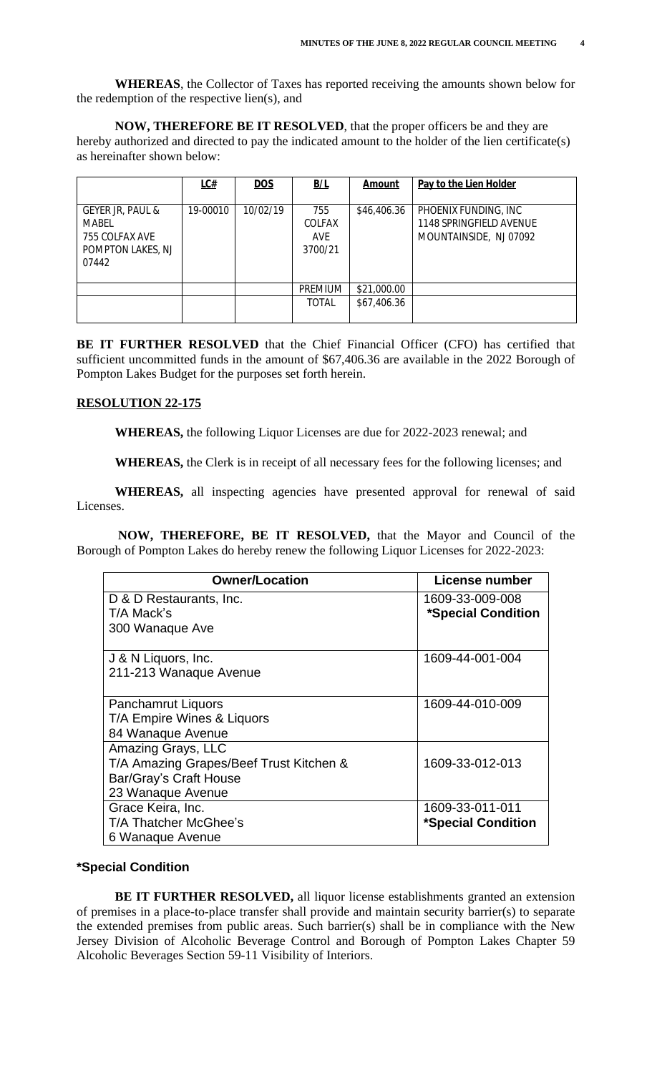**WHEREAS**, the Collector of Taxes has reported receiving the amounts shown below for the redemption of the respective lien(s), and

**NOW, THEREFORE BE IT RESOLVED**, that the proper officers be and they are hereby authorized and directed to pay the indicated amount to the holder of the lien certificate(s) as hereinafter shown below:

|                                                                           | LC#      | DOS      | B/L                                    | Amount      | Pay to the Lien Holder                                                    |
|---------------------------------------------------------------------------|----------|----------|----------------------------------------|-------------|---------------------------------------------------------------------------|
| GEYER JR, PAUL &<br>MABEL<br>755 COLFAX AVE<br>POMPTON LAKES, NJ<br>07442 | 19-00010 | 10/02/19 | 755<br><b>COLFAX</b><br>AVE<br>3700/21 | \$46,406.36 | PHOENIX FUNDING, INC<br>1148 SPRINGFIELD AVENUE<br>MOUNTAINSIDE, NJ 07092 |
|                                                                           |          |          | PREMIUM                                | \$21,000.00 |                                                                           |
|                                                                           |          |          | <b>TOTAL</b>                           | \$67,406.36 |                                                                           |

**BE IT FURTHER RESOLVED** that the Chief Financial Officer (CFO) has certified that sufficient uncommitted funds in the amount of \$67,406.36 are available in the 2022 Borough of Pompton Lakes Budget for the purposes set forth herein.

#### **RESOLUTION 22-175**

**WHEREAS,** the following Liquor Licenses are due for 2022-2023 renewal; and

**WHEREAS,** the Clerk is in receipt of all necessary fees for the following licenses; and

 **WHEREAS,** all inspecting agencies have presented approval for renewal of said Licenses.

 **NOW, THEREFORE, BE IT RESOLVED,** that the Mayor and Council of the Borough of Pompton Lakes do hereby renew the following Liquor Licenses for 2022-2023:

| <b>Owner/Location</b>                   | License number     |
|-----------------------------------------|--------------------|
| D & D Restaurants, Inc.                 | 1609-33-009-008    |
| T/A Mack's                              | *Special Condition |
| 300 Wanaque Ave                         |                    |
| J & N Liquors, Inc.                     | 1609-44-001-004    |
| 211-213 Wanaque Avenue                  |                    |
| <b>Panchamrut Liquors</b>               | 1609-44-010-009    |
| T/A Empire Wines & Liquors              |                    |
| 84 Wanaque Avenue                       |                    |
| Amazing Grays, LLC                      |                    |
| T/A Amazing Grapes/Beef Trust Kitchen & | 1609-33-012-013    |
| Bar/Gray's Craft House                  |                    |
| 23 Wanaque Avenue                       |                    |
| Grace Keira, Inc.                       | 1609-33-011-011    |
| T/A Thatcher McGhee's                   | *Special Condition |
| 6 Wanaque Avenue                        |                    |

## **\*Special Condition**

**BE IT FURTHER RESOLVED,** all liquor license establishments granted an extension of premises in a place-to-place transfer shall provide and maintain security barrier(s) to separate the extended premises from public areas. Such barrier(s) shall be in compliance with the New Jersey Division of Alcoholic Beverage Control and Borough of Pompton Lakes Chapter 59 Alcoholic Beverages Section 59-11 Visibility of Interiors.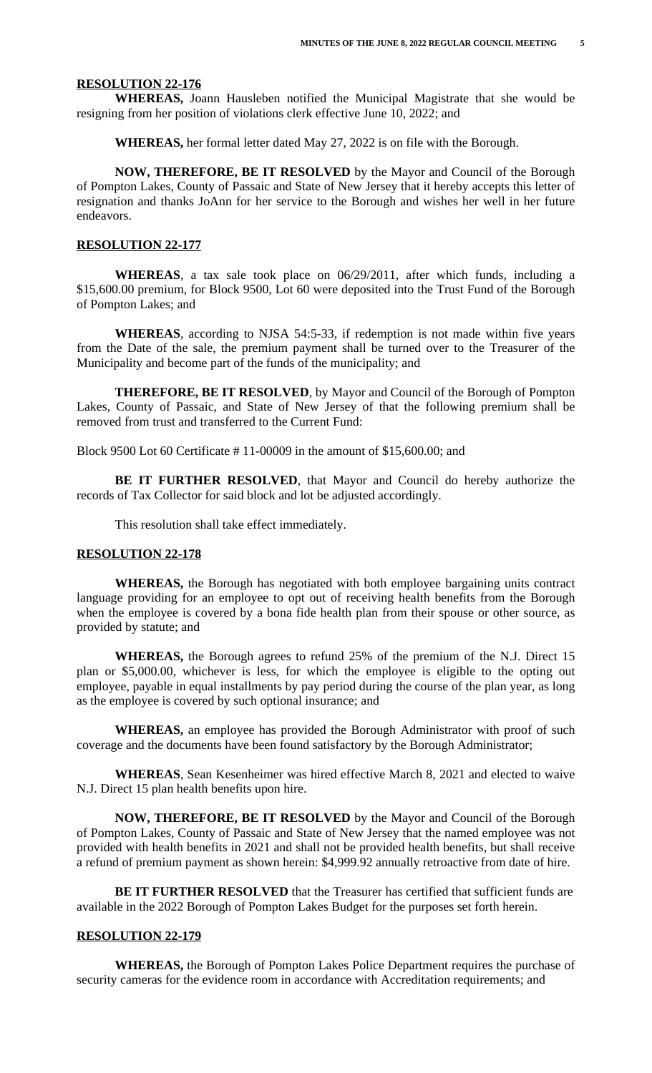#### **RESOLUTION 22-176**

**WHEREAS,** Joann Hausleben notified the Municipal Magistrate that she would be resigning from her position of violations clerk effective June 10, 2022; and

**WHEREAS,** her formal letter dated May 27, 2022 is on file with the Borough.

**NOW, THEREFORE, BE IT RESOLVED** by the Mayor and Council of the Borough of Pompton Lakes, County of Passaic and State of New Jersey that it hereby accepts this letter of resignation and thanks JoAnn for her service to the Borough and wishes her well in her future endeavors.

#### **RESOLUTION 22-177**

**WHEREAS**, a tax sale took place on 06/29/2011, after which funds, including a \$15,600.00 premium, for Block 9500, Lot 60 were deposited into the Trust Fund of the Borough of Pompton Lakes; and

**WHEREAS**, according to NJSA 54:5-33, if redemption is not made within five years from the Date of the sale, the premium payment shall be turned over to the Treasurer of the Municipality and become part of the funds of the municipality; and

**THEREFORE, BE IT RESOLVED**, by Mayor and Council of the Borough of Pompton Lakes, County of Passaic, and State of New Jersey of that the following premium shall be removed from trust and transferred to the Current Fund:

Block 9500 Lot 60 Certificate # 11-00009 in the amount of \$15,600.00; and

**BE IT FURTHER RESOLVED**, that Mayor and Council do hereby authorize the records of Tax Collector for said block and lot be adjusted accordingly.

This resolution shall take effect immediately.

#### **RESOLUTION 22-178**

**WHEREAS,** the Borough has negotiated with both employee bargaining units contract language providing for an employee to opt out of receiving health benefits from the Borough when the employee is covered by a bona fide health plan from their spouse or other source, as provided by statute; and

**WHEREAS,** the Borough agrees to refund 25% of the premium of the N.J. Direct 15 plan or \$5,000.00, whichever is less, for which the employee is eligible to the opting out employee, payable in equal installments by pay period during the course of the plan year, as long as the employee is covered by such optional insurance; and

**WHEREAS,** an employee has provided the Borough Administrator with proof of such coverage and the documents have been found satisfactory by the Borough Administrator;

**WHEREAS**, Sean Kesenheimer was hired effective March 8, 2021 and elected to waive N.J. Direct 15 plan health benefits upon hire.

**NOW, THEREFORE, BE IT RESOLVED** by the Mayor and Council of the Borough of Pompton Lakes, County of Passaic and State of New Jersey that the named employee was not provided with health benefits in 2021 and shall not be provided health benefits, but shall receive a refund of premium payment as shown herein: \$4,999.92 annually retroactive from date of hire.

**BE IT FURTHER RESOLVED** that the Treasurer has certified that sufficient funds are available in the 2022 Borough of Pompton Lakes Budget for the purposes set forth herein.

#### **RESOLUTION 22-179**

**WHEREAS,** the Borough of Pompton Lakes Police Department requires the purchase of security cameras for the evidence room in accordance with Accreditation requirements; and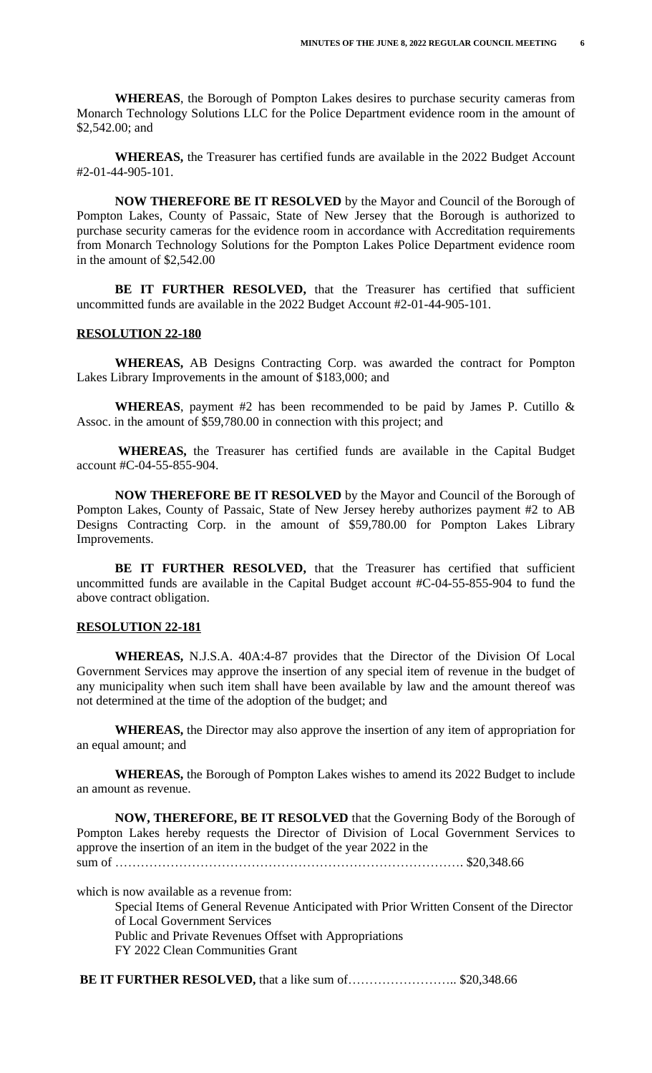**WHEREAS**, the Borough of Pompton Lakes desires to purchase security cameras from Monarch Technology Solutions LLC for the Police Department evidence room in the amount of \$2,542.00; and

**WHEREAS,** the Treasurer has certified funds are available in the 2022 Budget Account #2-01-44-905-101.

**NOW THEREFORE BE IT RESOLVED** by the Mayor and Council of the Borough of Pompton Lakes, County of Passaic, State of New Jersey that the Borough is authorized to purchase security cameras for the evidence room in accordance with Accreditation requirements from Monarch Technology Solutions for the Pompton Lakes Police Department evidence room in the amount of \$2,542.00

**BE IT FURTHER RESOLVED,** that the Treasurer has certified that sufficient uncommitted funds are available in the 2022 Budget Account #2-01-44-905-101.

#### **RESOLUTION 22-180**

**WHEREAS,** AB Designs Contracting Corp. was awarded the contract for Pompton Lakes Library Improvements in the amount of \$183,000; and

**WHEREAS**, payment #2 has been recommended to be paid by James P. Cutillo  $\&$ Assoc. in the amount of \$59,780.00 in connection with this project; and

**WHEREAS,** the Treasurer has certified funds are available in the Capital Budget account #C-04-55-855-904.

**NOW THEREFORE BE IT RESOLVED** by the Mayor and Council of the Borough of Pompton Lakes, County of Passaic, State of New Jersey hereby authorizes payment #2 to AB Designs Contracting Corp. in the amount of \$59,780.00 for Pompton Lakes Library Improvements.

**BE IT FURTHER RESOLVED,** that the Treasurer has certified that sufficient uncommitted funds are available in the Capital Budget account #C-04-55-855-904 to fund the above contract obligation.

#### **RESOLUTION 22-181**

**WHEREAS,** N.J.S.A. 40A:4-87 provides that the Director of the Division Of Local Government Services may approve the insertion of any special item of revenue in the budget of any municipality when such item shall have been available by law and the amount thereof was not determined at the time of the adoption of the budget; and

**WHEREAS,** the Director may also approve the insertion of any item of appropriation for an equal amount; and

**WHEREAS,** the Borough of Pompton Lakes wishes to amend its 2022 Budget to include an amount as revenue.

**NOW, THEREFORE, BE IT RESOLVED** that the Governing Body of the Borough of Pompton Lakes hereby requests the Director of Division of Local Government Services to approve the insertion of an item in the budget of the year 2022 in the sum of ………………………………………………………………………. \$20,348.66

which is now available as a revenue from:

Special Items of General Revenue Anticipated with Prior Written Consent of the Director of Local Government Services Public and Private Revenues Offset with Appropriations FY 2022 Clean Communities Grant

**BE IT FURTHER RESOLVED,** that a like sum of…………………….. \$20,348.66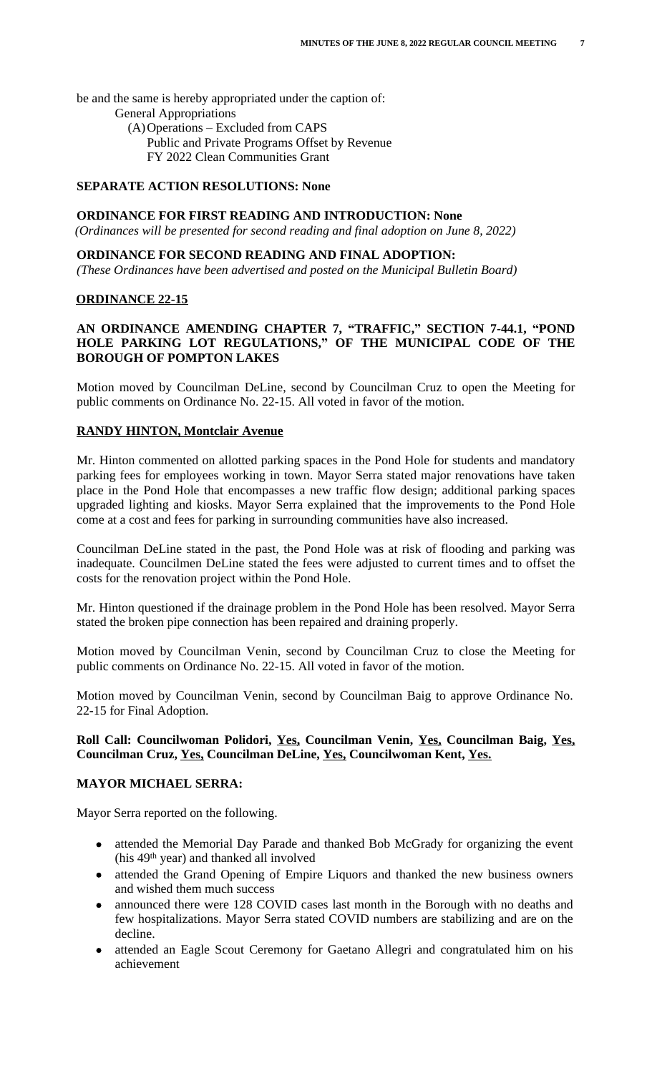be and the same is hereby appropriated under the caption of:

- General Appropriations
	- (A)Operations Excluded from CAPS Public and Private Programs Offset by Revenue FY 2022 Clean Communities Grant

# **SEPARATE ACTION RESOLUTIONS: None**

## **ORDINANCE FOR FIRST READING AND INTRODUCTION: None**

 *(Ordinances will be presented for second reading and final adoption on June 8, 2022)*

# **ORDINANCE FOR SECOND READING AND FINAL ADOPTION:**

 *(These Ordinances have been advertised and posted on the Municipal Bulletin Board)*

## **ORDINANCE 22-15**

# **AN ORDINANCE AMENDING CHAPTER 7, "TRAFFIC, " SECTION 7-44.1, "POND HOLE PARKING LOT REGULATIONS, " OF THE MUNICIPAL CODE OF THE BOROUGH OF POMPTON LAKES**

Motion moved by Councilman DeLine, second by Councilman Cruz to open the Meeting for public comments on Ordinance No. 22-15. All voted in favor of the motion.

## **RANDY HINTON, Montclair Avenue**

Mr. Hinton commented on allotted parking spaces in the Pond Hole for students and mandatory parking fees for employees working in town. Mayor Serra stated major renovations have taken place in the Pond Hole that encompasses a new traffic flow design; additional parking spaces upgraded lighting and kiosks. Mayor Serra explained that the improvements to the Pond Hole come at a cost and fees for parking in surrounding communities have also increased.

Councilman DeLine stated in the past, the Pond Hole was at risk of flooding and parking was inadequate. Councilmen DeLine stated the fees were adjusted to current times and to offset the costs for the renovation project within the Pond Hole.

Mr. Hinton questioned if the drainage problem in the Pond Hole has been resolved. Mayor Serra stated the broken pipe connection has been repaired and draining properly.

Motion moved by Councilman Venin, second by Councilman Cruz to close the Meeting for public comments on Ordinance No. 22-15. All voted in favor of the motion.

Motion moved by Councilman Venin, second by Councilman Baig to approve Ordinance No. 22-15 for Final Adoption.

## **Roll Call: Councilwoman Polidori, Yes, Councilman Venin, Yes, Councilman Baig, Yes, Councilman Cruz, Yes, Councilman DeLine, Yes, Councilwoman Kent, Yes.**

## **MAYOR MICHAEL SERRA:**

Mayor Serra reported on the following.

- attended the Memorial Day Parade and thanked Bob McGrady for organizing the event (his 49th year) and thanked all involved
- attended the Grand Opening of Empire Liquors and thanked the new business owners and wished them much success
- announced there were 128 COVID cases last month in the Borough with no deaths and few hospitalizations. Mayor Serra stated COVID numbers are stabilizing and are on the decline.
- attended an Eagle Scout Ceremony for Gaetano Allegri and congratulated him on his achievement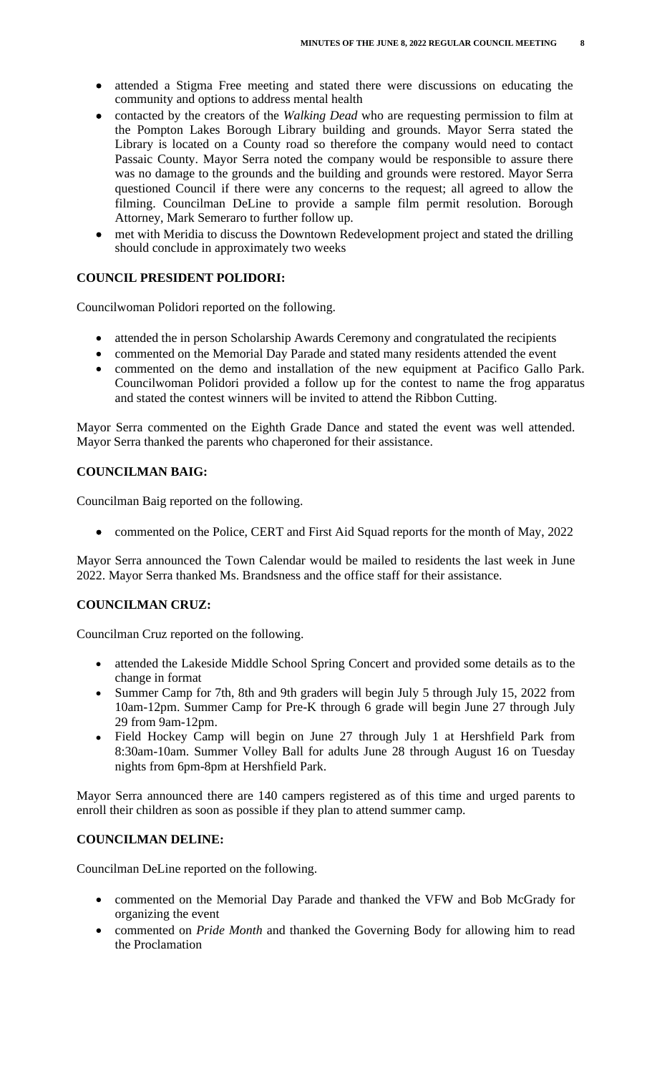- attended a Stigma Free meeting and stated there were discussions on educating the community and options to address mental health
- contacted by the creators of the *Walking Dead* who are requesting permission to film at the Pompton Lakes Borough Library building and grounds. Mayor Serra stated the Library is located on a County road so therefore the company would need to contact Passaic County. Mayor Serra noted the company would be responsible to assure there was no damage to the grounds and the building and grounds were restored. Mayor Serra questioned Council if there were any concerns to the request; all agreed to allow the filming. Councilman DeLine to provide a sample film permit resolution. Borough Attorney, Mark Semeraro to further follow up.
- met with Meridia to discuss the Downtown Redevelopment project and stated the drilling should conclude in approximately two weeks

# **COUNCIL PRESIDENT POLIDORI:**

Councilwoman Polidori reported on the following.

- attended the in person Scholarship Awards Ceremony and congratulated the recipients
- commented on the Memorial Day Parade and stated many residents attended the event
- commented on the demo and installation of the new equipment at Pacifico Gallo Park. Councilwoman Polidori provided a follow up for the contest to name the frog apparatus and stated the contest winners will be invited to attend the Ribbon Cutting.

Mayor Serra commented on the Eighth Grade Dance and stated the event was well attended. Mayor Serra thanked the parents who chaperoned for their assistance.

# **COUNCILMAN BAIG:**

Councilman Baig reported on the following.

• commented on the Police, CERT and First Aid Squad reports for the month of May, 2022

Mayor Serra announced the Town Calendar would be mailed to residents the last week in June 2022. Mayor Serra thanked Ms. Brandsness and the office staff for their assistance.

## **COUNCILMAN CRUZ:**

Councilman Cruz reported on the following.

- attended the Lakeside Middle School Spring Concert and provided some details as to the change in format
- Summer Camp for 7th, 8th and 9th graders will begin July 5 through July 15, 2022 from 10am-12pm. Summer Camp for Pre-K through 6 grade will begin June 27 through July 29 from 9am-12pm.
- Field Hockey Camp will begin on June 27 through July 1 at Hershfield Park from 8:30am-10am. Summer Volley Ball for adults June 28 through August 16 on Tuesday nights from 6pm-8pm at Hershfield Park.

Mayor Serra announced there are 140 campers registered as of this time and urged parents to enroll their children as soon as possible if they plan to attend summer camp.

## **COUNCILMAN DELINE:**

Councilman DeLine reported on the following.

- commented on the Memorial Day Parade and thanked the VFW and Bob McGrady for organizing the event
- commented on *Pride Month* and thanked the Governing Body for allowing him to read the Proclamation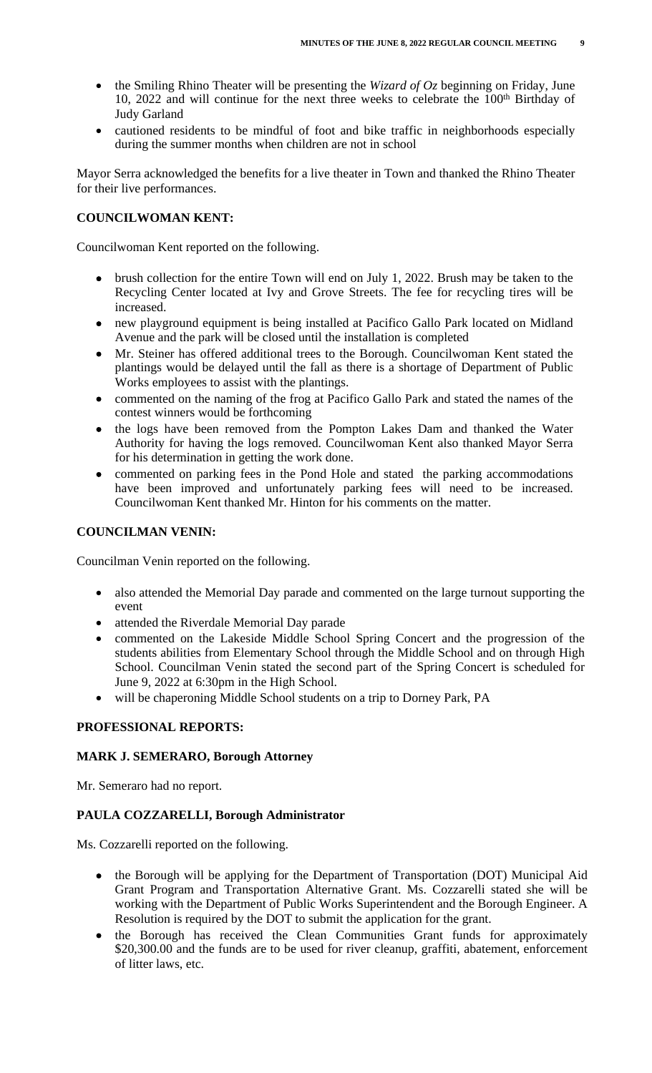- the Smiling Rhino Theater will be presenting the *Wizard of Oz* beginning on Friday, June 10, 2022 and will continue for the next three weeks to celebrate the 100<sup>th</sup> Birthday of Judy Garland
- cautioned residents to be mindful of foot and bike traffic in neighborhoods especially during the summer months when children are not in school

Mayor Serra acknowledged the benefits for a live theater in Town and thanked the Rhino Theater for their live performances.

## **COUNCILWOMAN KENT:**

Councilwoman Kent reported on the following.

- brush collection for the entire Town will end on July 1, 2022. Brush may be taken to the Recycling Center located at Ivy and Grove Streets. The fee for recycling tires will be increased.
- new playground equipment is being installed at Pacifico Gallo Park located on Midland Avenue and the park will be closed until the installation is completed
- Mr. Steiner has offered additional trees to the Borough. Councilwoman Kent stated the plantings would be delayed until the fall as there is a shortage of Department of Public Works employees to assist with the plantings.
- commented on the naming of the frog at Pacifico Gallo Park and stated the names of the contest winners would be forthcoming
- the logs have been removed from the Pompton Lakes Dam and thanked the Water Authority for having the logs removed. Councilwoman Kent also thanked Mayor Serra for his determination in getting the work done.
- commented on parking fees in the Pond Hole and stated the parking accommodations have been improved and unfortunately parking fees will need to be increased. Councilwoman Kent thanked Mr. Hinton for his comments on the matter.

## **COUNCILMAN VENIN:**

Councilman Venin reported on the following.

- also attended the Memorial Day parade and commented on the large turnout supporting the event
- attended the Riverdale Memorial Day parade
- commented on the Lakeside Middle School Spring Concert and the progression of the students abilities from Elementary School through the Middle School and on through High School. Councilman Venin stated the second part of the Spring Concert is scheduled for June 9, 2022 at 6:30pm in the High School.
- will be chaperoning Middle School students on a trip to Dorney Park, PA

#### **PROFESSIONAL REPORTS:**

#### **MARK J. SEMERARO, Borough Attorney**

Mr. Semeraro had no report.

## **PAULA COZZARELLI, Borough Administrator**

Ms. Cozzarelli reported on the following.

- the Borough will be applying for the Department of Transportation (DOT) Municipal Aid Grant Program and Transportation Alternative Grant. Ms. Cozzarelli stated she will be working with the Department of Public Works Superintendent and the Borough Engineer. A Resolution is required by the DOT to submit the application for the grant.
- the Borough has received the Clean Communities Grant funds for approximately \$20,300.00 and the funds are to be used for river cleanup, graffiti, abatement, enforcement of litter laws, etc.